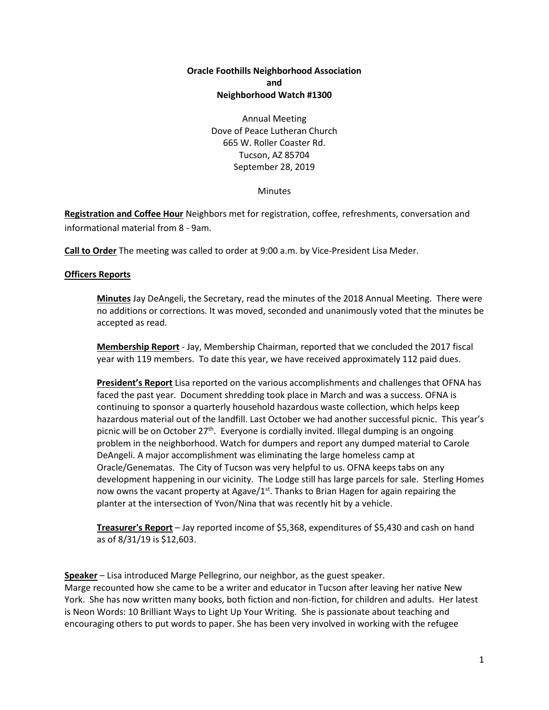# **Oracle Foothills Neighborhood Association and Neighborhood Watch #1300**

Annual Meeting Dove of Peace Lutheran Church 665 W. Roller Coaster Rd. Tucson, AZ 85704 September 28, 2019

**Minutes** 

**Registration and Coffee Hour** Neighbors met for registration, coffee, refreshments, conversation and informational material from 8 - 9am.

**Call to Order** The meeting was called to order at 9:00 a.m. by Vice-President Lisa Meder.

# **Officers Reports**

**Minutes** Jay DeAngeli, the Secretary, read the minutes of the 2018 Annual Meeting. There were no additions or corrections. It was moved, seconded and unanimously voted that the minutes be accepted as read.

**Membership Report** - Jay, Membership Chairman, reported that we concluded the 2017 fiscal year with 119 members. To date this year, we have received approximately 112 paid dues.

**President's Report** Lisa reported on the various accomplishments and challenges that OFNA has faced the past year. Document shredding took place in March and was a success. OFNA is continuing to sponsor a quarterly household hazardous waste collection, which helps keep hazardous material out of the landfill. Last October we had another successful picnic. This year's picnic will be on October 27<sup>th</sup>. Everyone is cordially invited. Illegal dumping is an ongoing problem in the neighborhood. Watch for dumpers and report any dumped material to Carole DeAngeli. A major accomplishment was eliminating the large homeless camp at Oracle/Genematas. The City of Tucson was very helpful to us. OFNA keeps tabs on any development happening in our vicinity. The Lodge still has large parcels for sale. Sterling Homes now owns the vacant property at Agave/1<sup>st</sup>. Thanks to Brian Hagen for again repairing the planter at the intersection of Yvon/Nina that was recently hit by a vehicle.

**Treasurer's Report** – Jay reported income of \$5,368, expenditures of \$5,430 and cash on hand as of 8/31/19 is \$12,603.

**Speaker** – Lisa introduced Marge Pellegrino, our neighbor, as the guest speaker. Marge recounted how she came to be a writer and educator in Tucson after leaving her native New York. She has now written many books, both fiction and non-fiction, for children and adults. Her latest is Neon Words: 10 Brilliant Ways to Light Up Your Writing. She is passionate about teaching and encouraging others to put words to paper. She has been very involved in working with the refugee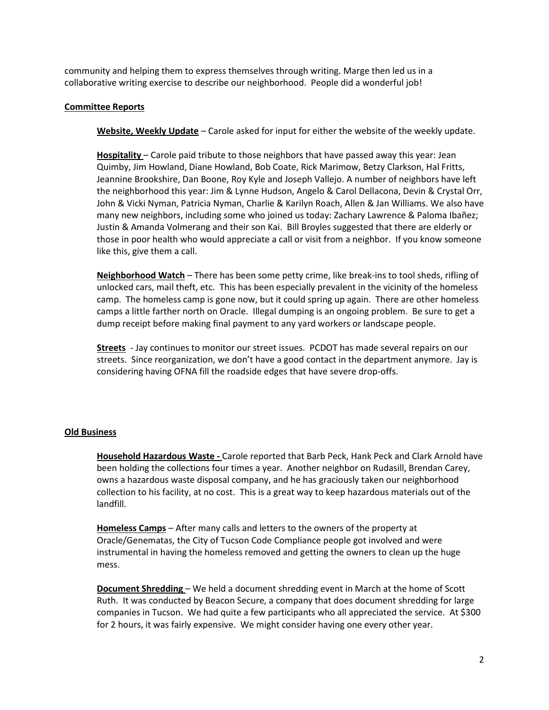community and helping them to express themselves through writing. Marge then led us in a collaborative writing exercise to describe our neighborhood. People did a wonderful job!

### **Committee Reports**

**Website, Weekly Update** – Carole asked for input for either the website of the weekly update.

**Hospitality** – Carole paid tribute to those neighbors that have passed away this year: Jean Quimby, Jim Howland, Diane Howland, Bob Coate, Rick Marimow, Betzy Clarkson, Hal Fritts, Jeannine Brookshire, Dan Boone, Roy Kyle and Joseph Vallejo. A number of neighbors have left the neighborhood this year: Jim & Lynne Hudson, Angelo & Carol Dellacona, Devin & Crystal Orr, John & Vicki Nyman, Patricia Nyman, Charlie & Karilyn Roach, Allen & Jan Williams. We also have many new neighbors, including some who joined us today: Zachary Lawrence & Paloma Ibañez; Justin & Amanda Volmerang and their son Kai. Bill Broyles suggested that there are elderly or those in poor health who would appreciate a call or visit from a neighbor. If you know someone like this, give them a call.

**Neighborhood Watch** – There has been some petty crime, like break-ins to tool sheds, rifling of unlocked cars, mail theft, etc. This has been especially prevalent in the vicinity of the homeless camp. The homeless camp is gone now, but it could spring up again. There are other homeless camps a little farther north on Oracle. Illegal dumping is an ongoing problem. Be sure to get a dump receipt before making final payment to any yard workers or landscape people.

**Streets** - Jay continues to monitor our street issues. PCDOT has made several repairs on our streets. Since reorganization, we don't have a good contact in the department anymore. Jay is considering having OFNA fill the roadside edges that have severe drop-offs.

### **Old Business**

**Household Hazardous Waste -** Carole reported that Barb Peck, Hank Peck and Clark Arnold have been holding the collections four times a year. Another neighbor on Rudasill, Brendan Carey, owns a hazardous waste disposal company, and he has graciously taken our neighborhood collection to his facility, at no cost. This is a great way to keep hazardous materials out of the landfill.

**Homeless Camps** – After many calls and letters to the owners of the property at Oracle/Genematas, the City of Tucson Code Compliance people got involved and were instrumental in having the homeless removed and getting the owners to clean up the huge mess.

**Document Shredding** – We held a document shredding event in March at the home of Scott Ruth. It was conducted by Beacon Secure, a company that does document shredding for large companies in Tucson. We had quite a few participants who all appreciated the service. At \$300 for 2 hours, it was fairly expensive. We might consider having one every other year.